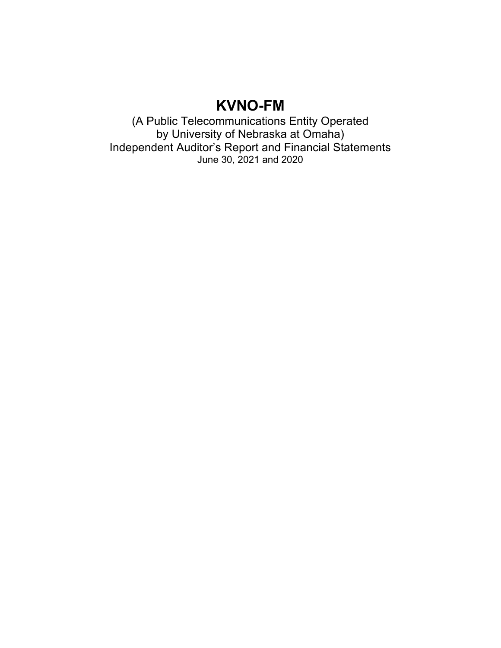(A Public Telecommunications Entity Operated by University of Nebraska at Omaha) Independent Auditor's Report and Financial Statements June 30, 2021 and 2020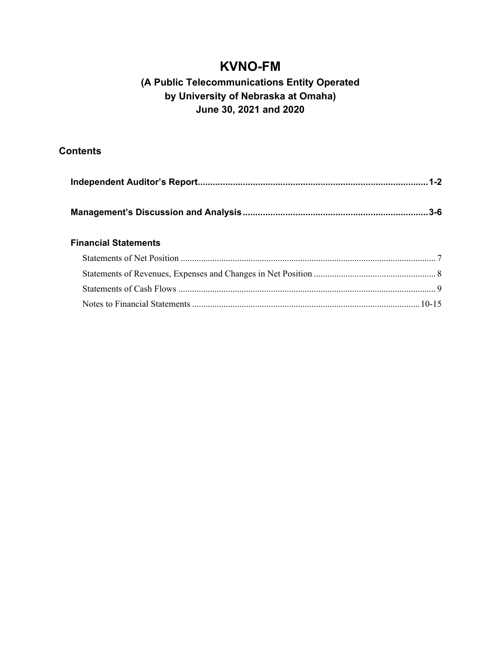### **(A Public Telecommunications Entity Operated by University of Nebraska at Omaha) June 30, 2021 and 2020**

### **Contents**

### **Financial Statements**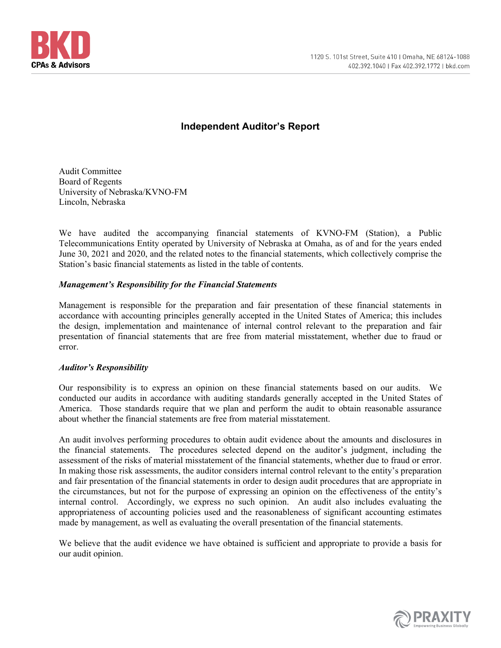

### **Independent Auditor's Report**

Audit Committee Board of Regents University of Nebraska/KVNO-FM Lincoln, Nebraska

We have audited the accompanying financial statements of KVNO-FM (Station), a Public Telecommunications Entity operated by University of Nebraska at Omaha, as of and for the years ended June 30, 2021 and 2020, and the related notes to the financial statements, which collectively comprise the Station's basic financial statements as listed in the table of contents.

### *Management's Responsibility for the Financial Statements*

Management is responsible for the preparation and fair presentation of these financial statements in accordance with accounting principles generally accepted in the United States of America; this includes the design, implementation and maintenance of internal control relevant to the preparation and fair presentation of financial statements that are free from material misstatement, whether due to fraud or error.

#### *Auditor's Responsibility*

Our responsibility is to express an opinion on these financial statements based on our audits. We conducted our audits in accordance with auditing standards generally accepted in the United States of America. Those standards require that we plan and perform the audit to obtain reasonable assurance about whether the financial statements are free from material misstatement.

An audit involves performing procedures to obtain audit evidence about the amounts and disclosures in the financial statements. The procedures selected depend on the auditor's judgment, including the assessment of the risks of material misstatement of the financial statements, whether due to fraud or error. In making those risk assessments, the auditor considers internal control relevant to the entity's preparation and fair presentation of the financial statements in order to design audit procedures that are appropriate in the circumstances, but not for the purpose of expressing an opinion on the effectiveness of the entity's internal control. Accordingly, we express no such opinion. An audit also includes evaluating the appropriateness of accounting policies used and the reasonableness of significant accounting estimates made by management, as well as evaluating the overall presentation of the financial statements.

We believe that the audit evidence we have obtained is sufficient and appropriate to provide a basis for our audit opinion.

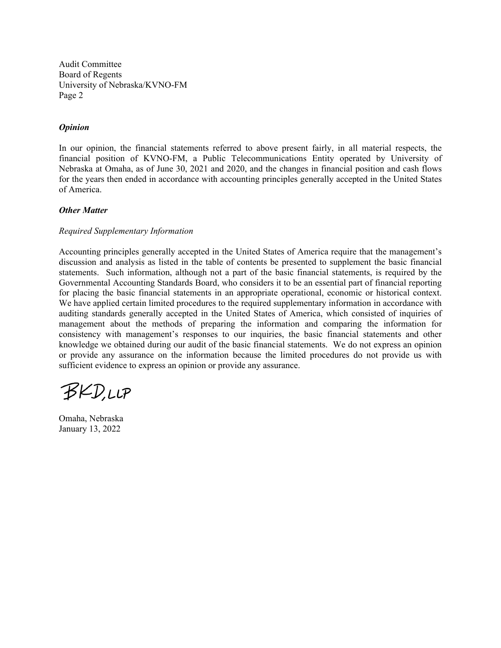Audit Committee Board of Regents University of Nebraska/KVNO-FM Page 2

#### *Opinion*

In our opinion, the financial statements referred to above present fairly, in all material respects, the financial position of KVNO-FM, a Public Telecommunications Entity operated by University of Nebraska at Omaha, as of June 30, 2021 and 2020, and the changes in financial position and cash flows for the years then ended in accordance with accounting principles generally accepted in the United States of America.

#### *Other Matter*

#### *Required Supplementary Information*

Accounting principles generally accepted in the United States of America require that the management's discussion and analysis as listed in the table of contents be presented to supplement the basic financial statements. Such information, although not a part of the basic financial statements, is required by the Governmental Accounting Standards Board, who considers it to be an essential part of financial reporting for placing the basic financial statements in an appropriate operational, economic or historical context. We have applied certain limited procedures to the required supplementary information in accordance with auditing standards generally accepted in the United States of America, which consisted of inquiries of management about the methods of preparing the information and comparing the information for consistency with management's responses to our inquiries, the basic financial statements and other knowledge we obtained during our audit of the basic financial statements. We do not express an opinion or provide any assurance on the information because the limited procedures do not provide us with sufficient evidence to express an opinion or provide any assurance.

BKD,LLP

Omaha, Nebraska January 13, 2022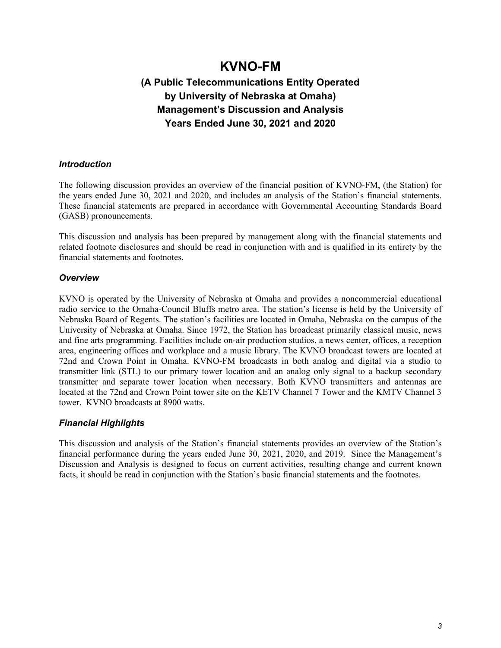## **(A Public Telecommunications Entity Operated by University of Nebraska at Omaha) Management's Discussion and Analysis Years Ended June 30, 2021 and 2020**

### *Introduction*

The following discussion provides an overview of the financial position of KVNO-FM, (the Station) for the years ended June 30, 2021 and 2020, and includes an analysis of the Station's financial statements. These financial statements are prepared in accordance with Governmental Accounting Standards Board (GASB) pronouncements.

This discussion and analysis has been prepared by management along with the financial statements and related footnote disclosures and should be read in conjunction with and is qualified in its entirety by the financial statements and footnotes.

### *Overview*

KVNO is operated by the University of Nebraska at Omaha and provides a noncommercial educational radio service to the Omaha-Council Bluffs metro area. The station's license is held by the University of Nebraska Board of Regents. The station's facilities are located in Omaha, Nebraska on the campus of the University of Nebraska at Omaha. Since 1972, the Station has broadcast primarily classical music, news and fine arts programming. Facilities include on-air production studios, a news center, offices, a reception area, engineering offices and workplace and a music library. The KVNO broadcast towers are located at 72nd and Crown Point in Omaha. KVNO-FM broadcasts in both analog and digital via a studio to transmitter link (STL) to our primary tower location and an analog only signal to a backup secondary transmitter and separate tower location when necessary. Both KVNO transmitters and antennas are located at the 72nd and Crown Point tower site on the KETV Channel 7 Tower and the KMTV Channel 3 tower. KVNO broadcasts at 8900 watts.

### *Financial Highlights*

This discussion and analysis of the Station's financial statements provides an overview of the Station's financial performance during the years ended June 30, 2021, 2020, and 2019. Since the Management's Discussion and Analysis is designed to focus on current activities, resulting change and current known facts, it should be read in conjunction with the Station's basic financial statements and the footnotes.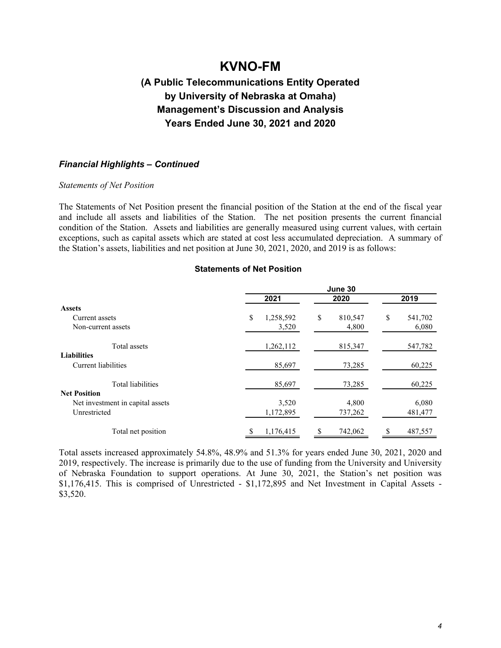### **(A Public Telecommunications Entity Operated by University of Nebraska at Omaha) Management's Discussion and Analysis Years Ended June 30, 2021 and 2020**

#### *Financial Highlights – Continued*

#### *Statements of Net Position*

The Statements of Net Position present the financial position of the Station at the end of the fiscal year and include all assets and liabilities of the Station. The net position presents the current financial condition of the Station. Assets and liabilities are generally measured using current values, with certain exceptions, such as capital assets which are stated at cost less accumulated depreciation. A summary of the Station's assets, liabilities and net position at June 30, 2021, 2020, and 2019 is as follows:

#### **Statements of Net Position**

|                                  | June 30         |               |                |  |  |  |  |
|----------------------------------|-----------------|---------------|----------------|--|--|--|--|
|                                  | 2021            | 2020          | 2019           |  |  |  |  |
| <b>Assets</b>                    |                 |               |                |  |  |  |  |
| Current assets                   | \$<br>1,258,592 | \$<br>810,547 | \$.<br>541,702 |  |  |  |  |
| Non-current assets               | 3,520           | 4,800         | 6,080          |  |  |  |  |
| Total assets                     | 1,262,112       | 815,347       | 547,782        |  |  |  |  |
| <b>Liabilities</b>               |                 |               |                |  |  |  |  |
| Current liabilities              | 85,697          | 73,285        | 60,225         |  |  |  |  |
| <b>Total liabilities</b>         | 85,697          | 73,285        | 60,225         |  |  |  |  |
| <b>Net Position</b>              |                 |               |                |  |  |  |  |
| Net investment in capital assets | 3,520           | 4,800         | 6,080          |  |  |  |  |
| Unrestricted                     | 1,172,895       | 737,262       | 481,477        |  |  |  |  |
| Total net position               | 1,176,415       | 742,062       | 487,557        |  |  |  |  |

Total assets increased approximately 54.8%, 48.9% and 51.3% for years ended June 30, 2021, 2020 and 2019, respectively. The increase is primarily due to the use of funding from the University and University of Nebraska Foundation to support operations. At June 30, 2021, the Station's net position was \$1,176,415. This is comprised of Unrestricted - \$1,172,895 and Net Investment in Capital Assets -\$3,520.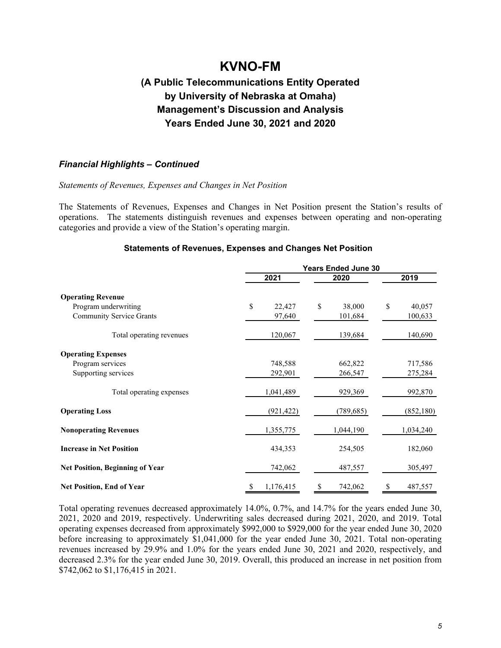## **(A Public Telecommunications Entity Operated by University of Nebraska at Omaha) Management's Discussion and Analysis Years Ended June 30, 2021 and 2020**

### *Financial Highlights – Continued*

#### *Statements of Revenues, Expenses and Changes in Net Position*

The Statements of Revenues, Expenses and Changes in Net Position present the Station's results of operations. The statements distinguish revenues and expenses between operating and non-operating categories and provide a view of the Station's operating margin.

#### **Statements of Revenues, Expenses and Changes Net Position**

|                                        | <b>Years Ended June 30</b> |              |              |  |  |  |
|----------------------------------------|----------------------------|--------------|--------------|--|--|--|
|                                        | 2021                       | 2020         | 2019         |  |  |  |
| <b>Operating Revenue</b>               |                            |              |              |  |  |  |
| Program underwriting                   | \$<br>22,427               | \$<br>38,000 | \$<br>40,057 |  |  |  |
| <b>Community Service Grants</b>        | 97,640                     | 101,684      | 100,633      |  |  |  |
| Total operating revenues               | 120,067                    | 139,684      | 140,690      |  |  |  |
| <b>Operating Expenses</b>              |                            |              |              |  |  |  |
| Program services                       | 748,588                    | 662,822      | 717,586      |  |  |  |
| Supporting services                    | 292,901                    | 266,547      | 275,284      |  |  |  |
| Total operating expenses               | 1,041,489                  | 929,369      | 992,870      |  |  |  |
| <b>Operating Loss</b>                  | (921, 422)                 | (789, 685)   | (852, 180)   |  |  |  |
| <b>Nonoperating Revenues</b>           | 1,355,775                  | 1,044,190    | 1,034,240    |  |  |  |
| <b>Increase in Net Position</b>        | 434,353                    | 254,505      | 182,060      |  |  |  |
| <b>Net Position, Beginning of Year</b> | 742,062                    | 487,557      | 305,497      |  |  |  |
| <b>Net Position, End of Year</b>       | 1,176,415                  | 742,062      | 487,557      |  |  |  |

Total operating revenues decreased approximately 14.0%, 0.7%, and 14.7% for the years ended June 30, 2021, 2020 and 2019, respectively. Underwriting sales decreased during 2021, 2020, and 2019. Total operating expenses decreased from approximately \$992,000 to \$929,000 for the year ended June 30, 2020 before increasing to approximately \$1,041,000 for the year ended June 30, 2021. Total non-operating revenues increased by 29.9% and 1.0% for the years ended June 30, 2021 and 2020, respectively, and decreased 2.3% for the year ended June 30, 2019. Overall, this produced an increase in net position from \$742,062 to \$1,176,415 in 2021.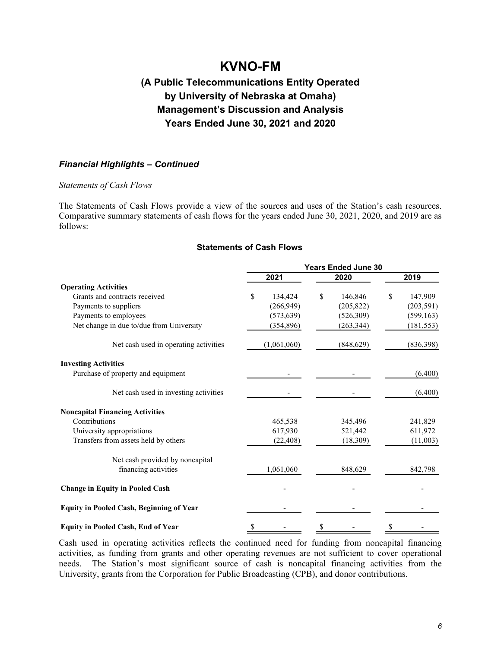### **(A Public Telecommunications Entity Operated by University of Nebraska at Omaha) Management's Discussion and Analysis Years Ended June 30, 2021 and 2020**

### *Financial Highlights – Continued*

#### *Statements of Cash Flows*

The Statements of Cash Flows provide a view of the sources and uses of the Station's cash resources. Comparative summary statements of cash flows for the years ended June 30, 2021, 2020, and 2019 are as follows:

#### **Statements of Cash Flows**

|                                                 | <b>Years Ended June 30</b> |               |               |  |  |  |  |  |
|-------------------------------------------------|----------------------------|---------------|---------------|--|--|--|--|--|
|                                                 | 2021                       | 2020          | 2019          |  |  |  |  |  |
| <b>Operating Activities</b>                     |                            |               |               |  |  |  |  |  |
| Grants and contracts received                   | \$<br>134,424              | \$<br>146,846 | \$<br>147,909 |  |  |  |  |  |
| Payments to suppliers                           | (266,949)                  | (205, 822)    | (203, 591)    |  |  |  |  |  |
| Payments to employees                           | (573, 639)                 | (526,309)     | (599, 163)    |  |  |  |  |  |
| Net change in due to/due from University        | (354, 896)                 | (263, 344)    | (181, 553)    |  |  |  |  |  |
| Net cash used in operating activities           | (1,061,060)                | (848, 629)    | (836, 398)    |  |  |  |  |  |
| <b>Investing Activities</b>                     |                            |               |               |  |  |  |  |  |
| Purchase of property and equipment              |                            |               | (6,400)       |  |  |  |  |  |
| Net cash used in investing activities           |                            |               | (6,400)       |  |  |  |  |  |
| <b>Noncapital Financing Activities</b>          |                            |               |               |  |  |  |  |  |
| Contributions                                   | 465,538                    | 345,496       | 241,829       |  |  |  |  |  |
| University appropriations                       | 617,930                    | 521,442       | 611,972       |  |  |  |  |  |
| Transfers from assets held by others            | (22, 408)                  | (18,309)      | (11,003)      |  |  |  |  |  |
| Net cash provided by noncapital                 |                            |               |               |  |  |  |  |  |
| financing activities                            | 1,061,060                  | 848,629       | 842,798       |  |  |  |  |  |
| <b>Change in Equity in Pooled Cash</b>          |                            |               |               |  |  |  |  |  |
| <b>Equity in Pooled Cash, Beginning of Year</b> |                            |               |               |  |  |  |  |  |
| <b>Equity in Pooled Cash, End of Year</b>       | \$                         |               |               |  |  |  |  |  |

Cash used in operating activities reflects the continued need for funding from noncapital financing activities, as funding from grants and other operating revenues are not sufficient to cover operational needs. The Station's most significant source of cash is noncapital financing activities from the University, grants from the Corporation for Public Broadcasting (CPB), and donor contributions.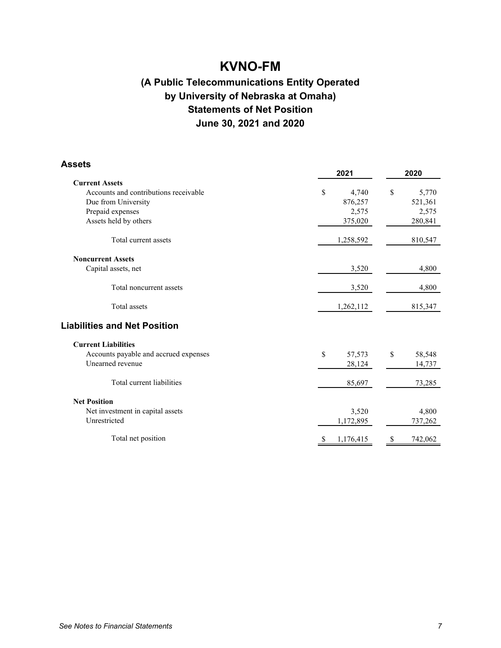## **(A Public Telecommunications Entity Operated by University of Nebraska at Omaha) Statements of Net Position June 30, 2021 and 2020**

| <b>Assets</b>                         |                           |               |  |  |
|---------------------------------------|---------------------------|---------------|--|--|
|                                       | 2021                      | 2020          |  |  |
| <b>Current Assets</b>                 |                           |               |  |  |
| Accounts and contributions receivable | $\mathbb{S}$<br>4,740     | \$<br>5,770   |  |  |
| Due from University                   | 876,257                   | 521,361       |  |  |
| Prepaid expenses                      | 2,575                     | 2,575         |  |  |
| Assets held by others                 | 375,020                   | 280,841       |  |  |
| Total current assets                  | 1,258,592                 | 810,547       |  |  |
| <b>Noncurrent Assets</b>              |                           |               |  |  |
| Capital assets, net                   | 3,520                     | 4,800         |  |  |
| Total noncurrent assets               | 3,520                     | 4,800         |  |  |
| <b>Total</b> assets                   | 1,262,112                 | 815,347       |  |  |
| <b>Liabilities and Net Position</b>   |                           |               |  |  |
| <b>Current Liabilities</b>            |                           |               |  |  |
| Accounts payable and accrued expenses | \$<br>57,573              | \$<br>58,548  |  |  |
| Unearned revenue                      | 28,124                    | 14,737        |  |  |
| Total current liabilities             | 85,697                    | 73,285        |  |  |
| <b>Net Position</b>                   |                           |               |  |  |
| Net investment in capital assets      | 3,520                     | 4,800         |  |  |
| Unrestricted                          | 1,172,895                 | 737,262       |  |  |
| Total net position                    | 1,176,415<br><sup>S</sup> | 742,062<br>\$ |  |  |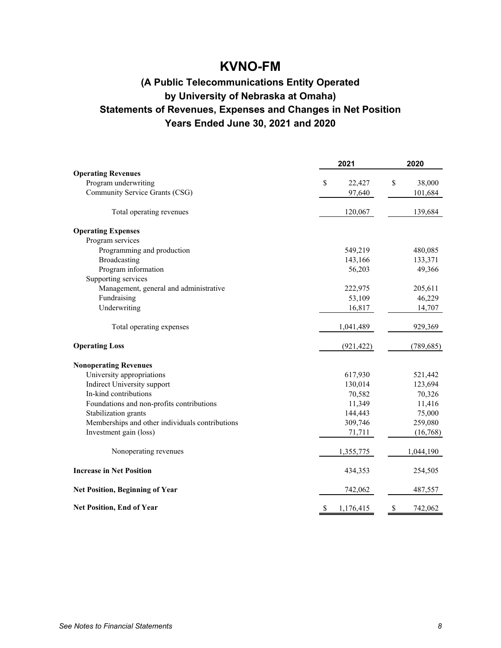## **(A Public Telecommunications Entity Operated by University of Nebraska at Omaha) Statements of Revenues, Expenses and Changes in Net Position Years Ended June 30, 2021 and 2020**

|                                                 | 2021            | 2020          |  |  |
|-------------------------------------------------|-----------------|---------------|--|--|
| <b>Operating Revenues</b>                       |                 |               |  |  |
| Program underwriting                            | \$<br>22,427    | \$<br>38,000  |  |  |
| Community Service Grants (CSG)                  | 97,640          | 101,684       |  |  |
| Total operating revenues                        | 120,067         | 139,684       |  |  |
| <b>Operating Expenses</b>                       |                 |               |  |  |
| Program services                                |                 |               |  |  |
| Programming and production                      | 549,219         | 480,085       |  |  |
| Broadcasting                                    | 143,166         | 133,371       |  |  |
| Program information                             | 56,203          | 49,366        |  |  |
| Supporting services                             |                 |               |  |  |
| Management, general and administrative          | 222,975         | 205,611       |  |  |
| Fundraising                                     | 53,109          | 46,229        |  |  |
| Underwriting                                    | 16,817          | 14,707        |  |  |
| Total operating expenses                        | 1,041,489       | 929,369       |  |  |
| <b>Operating Loss</b>                           | (921, 422)      | (789, 685)    |  |  |
| <b>Nonoperating Revenues</b>                    |                 |               |  |  |
| University appropriations                       | 617,930         | 521,442       |  |  |
| <b>Indirect University support</b>              | 130,014         | 123,694       |  |  |
| In-kind contributions                           | 70,582          | 70,326        |  |  |
| Foundations and non-profits contributions       | 11,349          | 11,416        |  |  |
| Stabilization grants                            | 144,443         | 75,000        |  |  |
| Memberships and other individuals contributions | 309,746         | 259,080       |  |  |
| Investment gain (loss)                          | 71,711          | (16,768)      |  |  |
| Nonoperating revenues                           | 1,355,775       | 1,044,190     |  |  |
| <b>Increase in Net Position</b>                 | 434,353         | 254,505       |  |  |
| <b>Net Position, Beginning of Year</b>          | 742,062         | 487,557       |  |  |
| <b>Net Position, End of Year</b>                | \$<br>1,176,415 | \$<br>742,062 |  |  |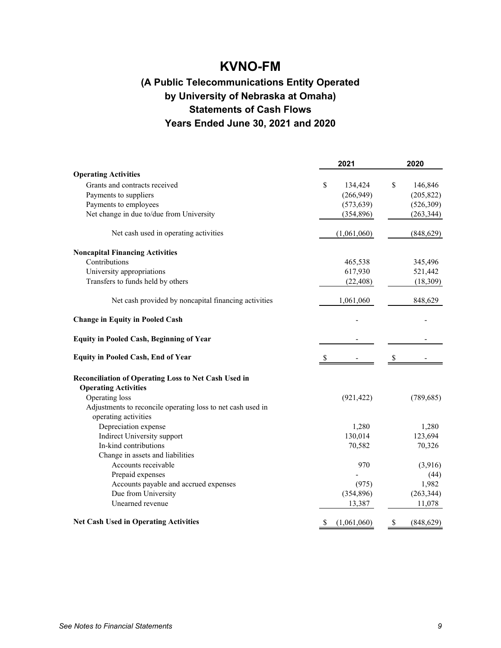## **(A Public Telecommunications Entity Operated by University of Nebraska at Omaha) Statements of Cash Flows Years Ended June 30, 2021 and 2020**

|                                                             | 2021              | 2020             |  |  |
|-------------------------------------------------------------|-------------------|------------------|--|--|
| <b>Operating Activities</b>                                 |                   |                  |  |  |
| Grants and contracts received                               | \$<br>134,424     | \$<br>146,846    |  |  |
| Payments to suppliers                                       | (266,949)         | (205, 822)       |  |  |
| Payments to employees                                       | (573, 639)        | (526, 309)       |  |  |
| Net change in due to/due from University                    | (354, 896)        | (263, 344)       |  |  |
| Net cash used in operating activities                       | (1,061,060)       | (848, 629)       |  |  |
| <b>Noncapital Financing Activities</b>                      |                   |                  |  |  |
| Contributions                                               | 465,538           | 345,496          |  |  |
| University appropriations                                   | 617,930           | 521,442          |  |  |
| Transfers to funds held by others                           | (22, 408)         | (18, 309)        |  |  |
| Net cash provided by noncapital financing activities        | 1,061,060         | 848,629          |  |  |
| <b>Change in Equity in Pooled Cash</b>                      |                   |                  |  |  |
| <b>Equity in Pooled Cash, Beginning of Year</b>             |                   |                  |  |  |
| <b>Equity in Pooled Cash, End of Year</b>                   | S.                | \$               |  |  |
| Reconciliation of Operating Loss to Net Cash Used in        |                   |                  |  |  |
| <b>Operating Activities</b>                                 |                   |                  |  |  |
| Operating loss                                              | (921, 422)        | (789, 685)       |  |  |
| Adjustments to reconcile operating loss to net cash used in |                   |                  |  |  |
| operating activities                                        |                   |                  |  |  |
| Depreciation expense                                        | 1,280             | 1,280            |  |  |
| Indirect University support                                 | 130,014           | 123,694          |  |  |
| In-kind contributions                                       | 70,582            | 70,326           |  |  |
| Change in assets and liabilities                            |                   |                  |  |  |
| Accounts receivable                                         | 970               | (3,916)          |  |  |
| Prepaid expenses                                            |                   | (44)             |  |  |
| Accounts payable and accrued expenses                       | (975)             | 1,982            |  |  |
| Due from University                                         | (354, 896)        | (263, 344)       |  |  |
| Unearned revenue                                            | 13,387            | 11,078           |  |  |
| <b>Net Cash Used in Operating Activities</b>                | \$<br>(1,061,060) | \$<br>(848, 629) |  |  |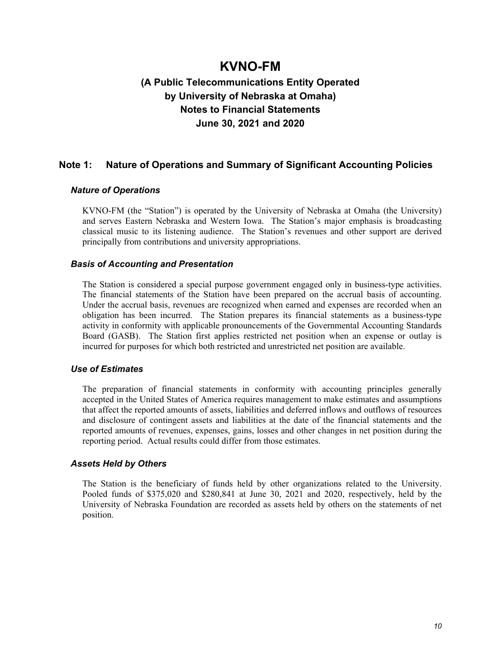### **(A Public Telecommunications Entity Operated by University of Nebraska at Omaha) Notes to Financial Statements June 30, 2021 and 2020**

### **Note 1: Nature of Operations and Summary of Significant Accounting Policies**

#### *Nature of Operations*

KVNO-FM (the "Station") is operated by the University of Nebraska at Omaha (the University) and serves Eastern Nebraska and Western Iowa. The Station's major emphasis is broadcasting classical music to its listening audience. The Station's revenues and other support are derived principally from contributions and university appropriations.

#### *Basis of Accounting and Presentation*

The Station is considered a special purpose government engaged only in business-type activities. The financial statements of the Station have been prepared on the accrual basis of accounting. Under the accrual basis, revenues are recognized when earned and expenses are recorded when an obligation has been incurred. The Station prepares its financial statements as a business-type activity in conformity with applicable pronouncements of the Governmental Accounting Standards Board (GASB). The Station first applies restricted net position when an expense or outlay is incurred for purposes for which both restricted and unrestricted net position are available.

#### *Use of Estimates*

The preparation of financial statements in conformity with accounting principles generally accepted in the United States of America requires management to make estimates and assumptions that affect the reported amounts of assets, liabilities and deferred inflows and outflows of resources and disclosure of contingent assets and liabilities at the date of the financial statements and the reported amounts of revenues, expenses, gains, losses and other changes in net position during the reporting period. Actual results could differ from those estimates.

#### *Assets Held by Others*

The Station is the beneficiary of funds held by other organizations related to the University. Pooled funds of \$375,020 and \$280,841 at June 30, 2021 and 2020, respectively, held by the University of Nebraska Foundation are recorded as assets held by others on the statements of net position.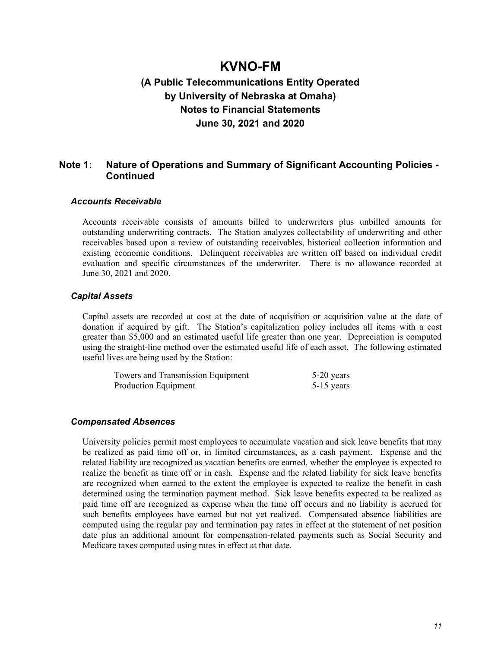### **(A Public Telecommunications Entity Operated by University of Nebraska at Omaha) Notes to Financial Statements June 30, 2021 and 2020**

### **Note 1: Nature of Operations and Summary of Significant Accounting Policies - Continued**

#### *Accounts Receivable*

Accounts receivable consists of amounts billed to underwriters plus unbilled amounts for outstanding underwriting contracts. The Station analyzes collectability of underwriting and other receivables based upon a review of outstanding receivables, historical collection information and existing economic conditions. Delinquent receivables are written off based on individual credit evaluation and specific circumstances of the underwriter. There is no allowance recorded at June 30, 2021 and 2020.

#### *Capital Assets*

Capital assets are recorded at cost at the date of acquisition or acquisition value at the date of donation if acquired by gift. The Station's capitalization policy includes all items with a cost greater than \$5,000 and an estimated useful life greater than one year. Depreciation is computed using the straight-line method over the estimated useful life of each asset. The following estimated useful lives are being used by the Station:

| Towers and Transmission Equipment | 5-20 years   |
|-----------------------------------|--------------|
| Production Equipment              | $5-15$ years |

#### *Compensated Absences*

University policies permit most employees to accumulate vacation and sick leave benefits that may be realized as paid time off or, in limited circumstances, as a cash payment. Expense and the related liability are recognized as vacation benefits are earned, whether the employee is expected to realize the benefit as time off or in cash. Expense and the related liability for sick leave benefits are recognized when earned to the extent the employee is expected to realize the benefit in cash determined using the termination payment method. Sick leave benefits expected to be realized as paid time off are recognized as expense when the time off occurs and no liability is accrued for such benefits employees have earned but not yet realized. Compensated absence liabilities are computed using the regular pay and termination pay rates in effect at the statement of net position date plus an additional amount for compensation-related payments such as Social Security and Medicare taxes computed using rates in effect at that date.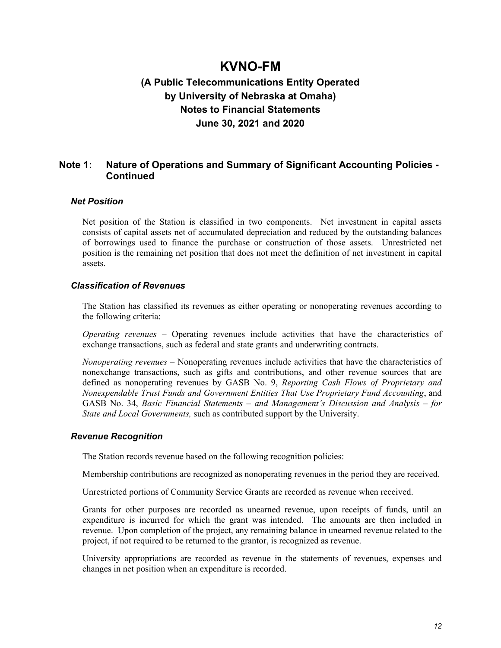### **(A Public Telecommunications Entity Operated by University of Nebraska at Omaha) Notes to Financial Statements June 30, 2021 and 2020**

### **Note 1: Nature of Operations and Summary of Significant Accounting Policies - Continued**

### *Net Position*

Net position of the Station is classified in two components. Net investment in capital assets consists of capital assets net of accumulated depreciation and reduced by the outstanding balances of borrowings used to finance the purchase or construction of those assets. Unrestricted net position is the remaining net position that does not meet the definition of net investment in capital assets.

### *Classification of Revenues*

The Station has classified its revenues as either operating or nonoperating revenues according to the following criteria:

*Operating revenues* – Operating revenues include activities that have the characteristics of exchange transactions, such as federal and state grants and underwriting contracts.

*Nonoperating revenues* – Nonoperating revenues include activities that have the characteristics of nonexchange transactions, such as gifts and contributions, and other revenue sources that are defined as nonoperating revenues by GASB No. 9, *Reporting Cash Flows of Proprietary and Nonexpendable Trust Funds and Government Entities That Use Proprietary Fund Accounting*, and GASB No. 34, *Basic Financial Statements – and Management's Discussion and Analysis – for State and Local Governments,* such as contributed support by the University.

#### *Revenue Recognition*

The Station records revenue based on the following recognition policies:

Membership contributions are recognized as nonoperating revenues in the period they are received.

Unrestricted portions of Community Service Grants are recorded as revenue when received.

Grants for other purposes are recorded as unearned revenue, upon receipts of funds, until an expenditure is incurred for which the grant was intended. The amounts are then included in revenue. Upon completion of the project, any remaining balance in unearned revenue related to the project, if not required to be returned to the grantor, is recognized as revenue.

University appropriations are recorded as revenue in the statements of revenues, expenses and changes in net position when an expenditure is recorded.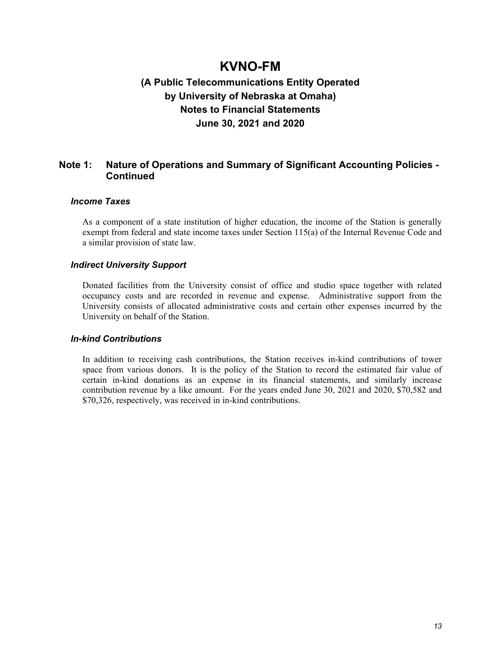### **(A Public Telecommunications Entity Operated by University of Nebraska at Omaha) Notes to Financial Statements June 30, 2021 and 2020**

### **Note 1: Nature of Operations and Summary of Significant Accounting Policies - Continued**

### *Income Taxes*

As a component of a state institution of higher education, the income of the Station is generally exempt from federal and state income taxes under Section 115(a) of the Internal Revenue Code and a similar provision of state law.

### *Indirect University Support*

Donated facilities from the University consist of office and studio space together with related occupancy costs and are recorded in revenue and expense. Administrative support from the University consists of allocated administrative costs and certain other expenses incurred by the University on behalf of the Station.

### *In-kind Contributions*

In addition to receiving cash contributions, the Station receives in-kind contributions of tower space from various donors. It is the policy of the Station to record the estimated fair value of certain in-kind donations as an expense in its financial statements, and similarly increase contribution revenue by a like amount. For the years ended June 30, 2021 and 2020, \$70,582 and \$70,326, respectively, was received in in-kind contributions.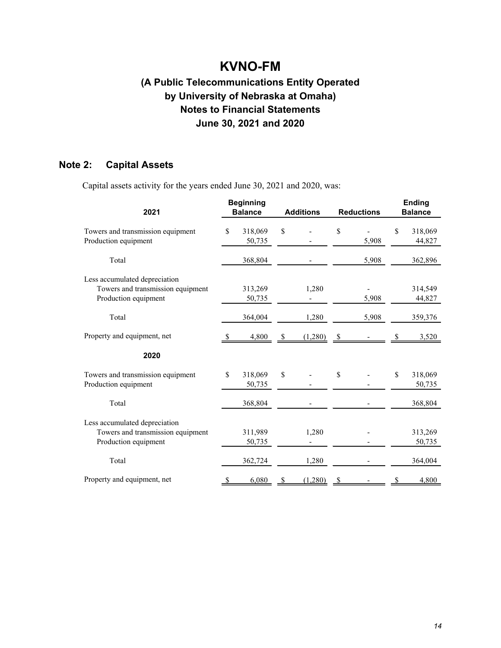## **(A Public Telecommunications Entity Operated by University of Nebraska at Omaha) Notes to Financial Statements June 30, 2021 and 2020**

### **Note 2: Capital Assets**

Capital assets activity for the years ended June 30, 2021 and 2020, was:

| <b>Beginning</b><br>2021<br><b>Balance</b>                                                 |              | <b>Additions</b>  |    | <b>Reductions</b> |    | <b>Ending</b><br><b>Balance</b> |               |                   |
|--------------------------------------------------------------------------------------------|--------------|-------------------|----|-------------------|----|---------------------------------|---------------|-------------------|
| Towers and transmission equipment<br>Production equipment                                  | \$           | 318,069<br>50,735 | \$ |                   | \$ | 5,908                           | <sup>\$</sup> | 318,069<br>44,827 |
| Total                                                                                      |              | 368,804           |    |                   |    | 5,908                           |               | 362,896           |
| Less accumulated depreciation<br>Towers and transmission equipment<br>Production equipment |              | 313,269<br>50,735 |    | 1,280             |    | 5,908                           |               | 314,549<br>44,827 |
| Total                                                                                      |              | 364,004           |    | 1,280             |    | 5,908                           |               | 359,376           |
| Property and equipment, net                                                                | <sup>8</sup> | 4,800             | \$ | (1,280)           | \$ |                                 |               | 3,520             |
| 2020                                                                                       |              |                   |    |                   |    |                                 |               |                   |
| Towers and transmission equipment<br>Production equipment                                  | \$           | 318,069<br>50,735 | \$ |                   | \$ |                                 | \$            | 318,069<br>50,735 |
| Total                                                                                      |              | 368,804           |    |                   |    |                                 |               | 368,804           |
| Less accumulated depreciation<br>Towers and transmission equipment<br>Production equipment |              | 311,989<br>50,735 |    | 1,280             |    |                                 |               | 313,269<br>50,735 |
| Total                                                                                      |              | 362,724           |    | 1,280             |    |                                 |               | 364,004           |
| Property and equipment, net                                                                | S            | 6,080             | S  | (1,280)           | \$ |                                 | S             | 4,800             |